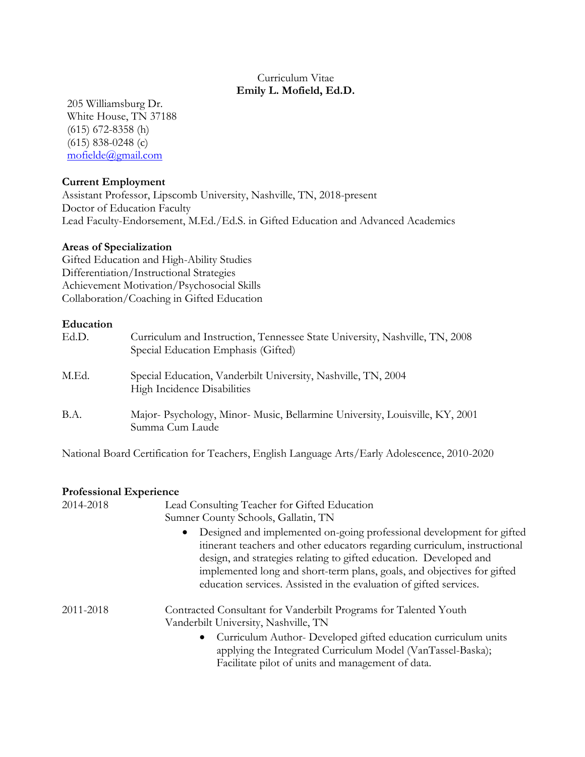### Curriculum Vitae **Emily L. Mofield, Ed.D.**

205 Williamsburg Dr. White House, TN 37188 (615) 672-8358 (h) (615) 838-0248 (c) [mofielde@gmail.com](mailto:mofielde@gmail.com)

### **Current Employment**

Assistant Professor, Lipscomb University, Nashville, TN, 2018-present Doctor of Education Faculty Lead Faculty-Endorsement, M.Ed./Ed.S. in Gifted Education and Advanced Academics

#### **Areas of Specialization**

Gifted Education and High-Ability Studies Differentiation/Instructional Strategies Achievement Motivation/Psychosocial Skills Collaboration/Coaching in Gifted Education

#### **Education**

| Ed.D. | Curriculum and Instruction, Tennessee State University, Nashville, TN, 2008<br>Special Education Emphasis (Gifted) |
|-------|--------------------------------------------------------------------------------------------------------------------|
| M.Ed. | Special Education, Vanderbilt University, Nashville, TN, 2004<br>High Incidence Disabilities                       |
| B.A.  | Major-Psychology, Minor-Music, Bellarmine University, Louisville, KY, 2001<br>Summa Cum Laude                      |

National Board Certification for Teachers, English Language Arts/Early Adolescence, 2010-2020

#### **Professional Experience**

| 2014-2018 | Lead Consulting Teacher for Gifted Education<br>Sumner County Schools, Gallatin, TN                                                                                                                                                                                                                                                                                                     |
|-----------|-----------------------------------------------------------------------------------------------------------------------------------------------------------------------------------------------------------------------------------------------------------------------------------------------------------------------------------------------------------------------------------------|
|           | Designed and implemented on-going professional development for gifted<br>$\bullet$<br>itinerant teachers and other educators regarding curriculum, instructional<br>design, and strategies relating to gifted education. Developed and<br>implemented long and short-term plans, goals, and objectives for gifted<br>education services. Assisted in the evaluation of gifted services. |
| 2011-2018 | Contracted Consultant for Vanderbilt Programs for Talented Youth<br>Vanderbilt University, Nashville, TN                                                                                                                                                                                                                                                                                |
|           | Curriculum Author- Developed gifted education curriculum units<br>٠<br>applying the Integrated Curriculum Model (VanTassel-Baska);<br>Facilitate pilot of units and management of data.                                                                                                                                                                                                 |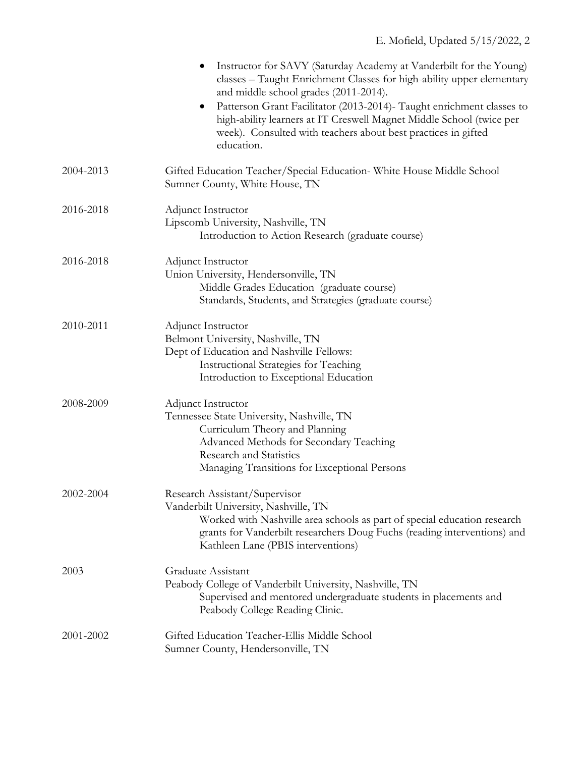|           | Instructor for SAVY (Saturday Academy at Vanderbilt for the Young)<br>classes - Taught Enrichment Classes for high-ability upper elementary<br>and middle school grades (2011-2014).                                                                                |
|-----------|---------------------------------------------------------------------------------------------------------------------------------------------------------------------------------------------------------------------------------------------------------------------|
|           | Patterson Grant Facilitator (2013-2014) - Taught enrichment classes to<br>$\bullet$<br>high-ability learners at IT Creswell Magnet Middle School (twice per<br>week). Consulted with teachers about best practices in gifted<br>education.                          |
| 2004-2013 | Gifted Education Teacher/Special Education-White House Middle School<br>Sumner County, White House, TN                                                                                                                                                              |
| 2016-2018 | Adjunct Instructor<br>Lipscomb University, Nashville, TN<br>Introduction to Action Research (graduate course)                                                                                                                                                       |
| 2016-2018 | Adjunct Instructor<br>Union University, Hendersonville, TN<br>Middle Grades Education (graduate course)<br>Standards, Students, and Strategies (graduate course)                                                                                                    |
| 2010-2011 | Adjunct Instructor<br>Belmont University, Nashville, TN<br>Dept of Education and Nashville Fellows:<br><b>Instructional Strategies for Teaching</b><br>Introduction to Exceptional Education                                                                        |
| 2008-2009 | Adjunct Instructor<br>Tennessee State University, Nashville, TN<br>Curriculum Theory and Planning<br>Advanced Methods for Secondary Teaching<br>Research and Statistics<br>Managing Transitions for Exceptional Persons                                             |
| 2002-2004 | Research Assistant/Supervisor<br>Vanderbilt University, Nashville, TN<br>Worked with Nashville area schools as part of special education research<br>grants for Vanderbilt researchers Doug Fuchs (reading interventions) and<br>Kathleen Lane (PBIS interventions) |
| 2003      | Graduate Assistant<br>Peabody College of Vanderbilt University, Nashville, TN<br>Supervised and mentored undergraduate students in placements and<br>Peabody College Reading Clinic.                                                                                |
| 2001-2002 | Gifted Education Teacher-Ellis Middle School<br>Sumner County, Hendersonville, TN                                                                                                                                                                                   |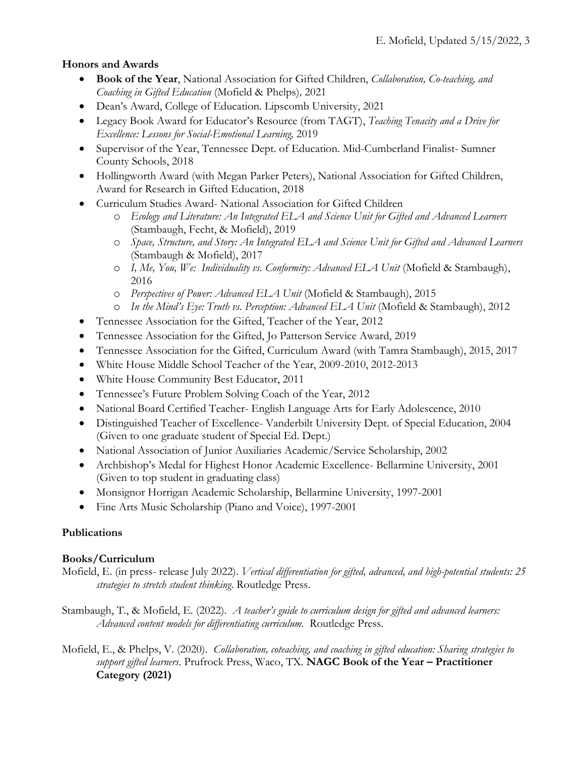# **Honors and Awards**

- **Book of the Year**, National Association for Gifted Children, *Collaboration, Co-teaching, and Coaching in Gifted Education* (Mofield & Phelps)*,* 2021
- Dean's Award, College of Education. Lipscomb University, 2021
- Legacy Book Award for Educator's Resource (from TAGT), *Teaching Tenacity and a Drive for Excellence: Lessons for Social-Emotional Learning,* 2019
- Supervisor of the Year, Tennessee Dept. of Education. Mid-Cumberland Finalist- Sumner County Schools, 2018
- Hollingworth Award (with Megan Parker Peters), National Association for Gifted Children, Award for Research in Gifted Education, 2018
- Curriculum Studies Award- National Association for Gifted Children
	- o *Ecology and Literature: An Integrated ELA and Science Unit for Gifted and Advanced Learners* (Stambaugh, Fecht, & Mofield), 2019
	- o *Space, Structure, and Story: An Integrated ELA and Science Unit for Gifted and Advanced Learners* (Stambaugh & Mofield), 2017
	- o *I, Me, You, We: Individuality vs. Conformity: Advanced ELA Unit* (Mofield & Stambaugh), 2016
	- o *Perspectives of Power: Advanced ELA Unit* (Mofield & Stambaugh), 2015
	- o *In the Mind's Eye: Truth vs. Perception: Advanced ELA Unit* (Mofield & Stambaugh), 2012
- Tennessee Association for the Gifted, Teacher of the Year, 2012
- Tennessee Association for the Gifted, Jo Patterson Service Award, 2019
- Tennessee Association for the Gifted, Curriculum Award (with Tamra Stambaugh), 2015, 2017
- White House Middle School Teacher of the Year, 2009-2010, 2012-2013
- White House Community Best Educator, 2011
- Tennessee's Future Problem Solving Coach of the Year, 2012
- National Board Certified Teacher- English Language Arts for Early Adolescence, 2010
- Distinguished Teacher of Excellence- Vanderbilt University Dept. of Special Education, 2004 (Given to one graduate student of Special Ed. Dept.)
- National Association of Junior Auxiliaries Academic/Service Scholarship, 2002
- Archbishop's Medal for Highest Honor Academic Excellence- Bellarmine University, 2001 (Given to top student in graduating class)
- Monsignor Horrigan Academic Scholarship, Bellarmine University, 1997-2001
- Fine Arts Music Scholarship (Piano and Voice), 1997-2001

# **Publications**

## **Books/Curriculum**

- Mofield, E. (in press- release July 2022). *Vertical differentiation for gifted, advanced, and high-potential students: 25 strategies to stretch student thinking*. Routledge Press.
- Stambaugh, T., & Mofield, E. (2022). *A teacher's guide to curriculum design for gifted and advanced learners: Advanced content models for differentiating curriculum.* Routledge Press.
- Mofield, E., & Phelps, V. (2020). *Collaboration, coteaching, and coaching in gifted education: Sharing strategies to support gifted learners*. Prufrock Press, Waco, TX. **NAGC Book of the Year – Practitioner Category (2021)**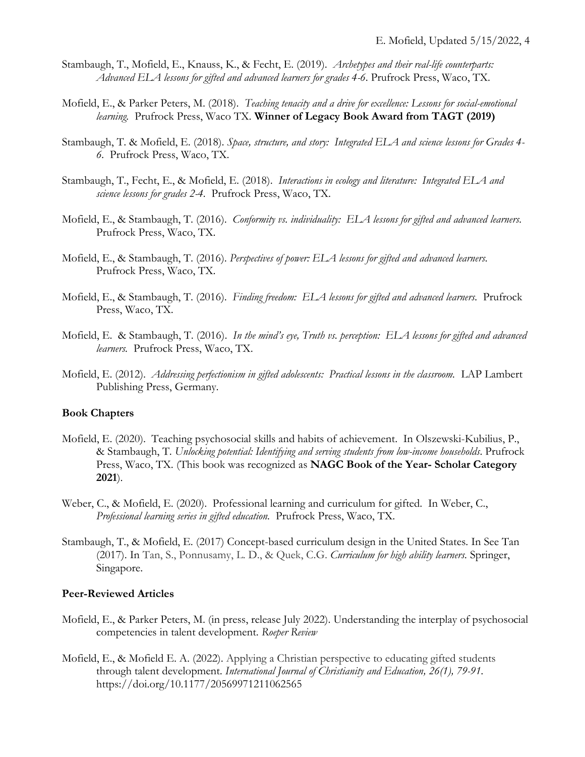- Stambaugh, T., Mofield, E., Knauss, K., & Fecht, E. (2019). *Archetypes and their real-life counterparts: Advanced ELA lessons for gifted and advanced learners for grades 4-6*. Prufrock Press, Waco, TX.
- Mofield, E., & Parker Peters, M. (2018). *Teaching tenacity and a drive for excellence: Lessons for social-emotional learning.* Prufrock Press, Waco TX. **Winner of Legacy Book Award from TAGT (2019)**
- Stambaugh, T. & Mofield, E. (2018). *Space, structure, and story: Integrated ELA and science lessons for Grades 4- 6.* Prufrock Press, Waco, TX.
- Stambaugh, T., Fecht, E., & Mofield, E. (2018). *Interactions in ecology and literature: Integrated ELA and science lessons for grades 2-4.* Prufrock Press, Waco, TX.
- Mofield, E., & Stambaugh, T. (2016). *Conformity vs. individuality: ELA lessons for gifted and advanced learners.* Prufrock Press, Waco, TX.
- Mofield, E., & Stambaugh, T. (2016). *Perspectives of power: ELA lessons for gifted and advanced learners.* Prufrock Press, Waco, TX.
- Mofield, E., & Stambaugh, T. (2016). *Finding freedom: ELA lessons for gifted and advanced learners.* Prufrock Press, Waco, TX.
- Mofield, E. & Stambaugh, T. (2016). *In the mind's eye, Truth vs. perception: ELA lessons for gifted and advanced learners.* Prufrock Press, Waco, TX.
- Mofield, E. (2012). *Addressing perfectionism in gifted adolescents: Practical lessons in the classroom.* LAP Lambert Publishing Press, Germany.

#### **Book Chapters**

- Mofield, E. (2020). Teaching psychosocial skills and habits of achievement. In Olszewski-Kubilius, P., & Stambaugh, T. *Unlocking potential: Identifying and serving students from low-income households*. Prufrock Press, Waco, TX. (This book was recognized as **NAGC Book of the Year- Scholar Category 2021**).
- Weber, C., & Mofield, E. (2020). Professional learning and curriculum for gifted. In Weber, C., *Professional learning series in gifted education.* Prufrock Press, Waco, TX.
- Stambaugh, T., & Mofield, E. (2017) Concept-based curriculum design in the United States. In See Tan (2017). In Tan, S., Ponnusamy, L. D., & Quek, C.G. *Curriculum for high ability learners.* Springer, Singapore.

#### **Peer-Reviewed Articles**

- Mofield, E., & Parker Peters, M. (in press, release July 2022). Understanding the interplay of psychosocial competencies in talent development. *Roeper Review*
- Mofield, E., & Mofield E. A. (2022). Applying a Christian perspective to educating gifted students through talent development. *International Journal of Christianity and Education, 26(1), 79-91.*  [https://doi.org/10.1177/20569971211062565](https://doi.org/10.1177%2F20569971211062565)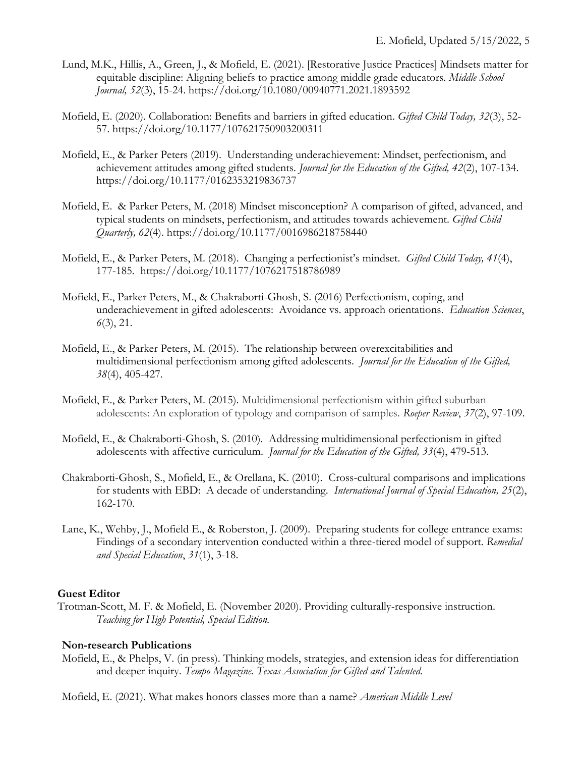- Lund, M.K., Hillis, A., Green, J., & Mofield, E. (2021). [Restorative Justice Practices] Mindsets matter for equitable discipline: Aligning beliefs to practice among middle grade educators. *Middle School Journal, 52*(3), 15-24. <https://doi.org/10.1080/00940771.2021.1893592>
- Mofield, E. (2020). Collaboration: Benefits and barriers in gifted education. *Gifted Child Today, 32*(3), 52- 57. <https://doi.org/10.1177/107621750903200311>
- Mofield, E., & Parker Peters (2019). Understanding underachievement: Mindset, perfectionism, and achievement attitudes among gifted students. *Journal for the Education of the Gifted, 42*(2), 107-134. [https://doi.org/10.1177/0162353219836737](https://doi.org/10.1177%2F0162353219836737)
- Mofield, E. & Parker Peters, M. (2018) Mindset misconception? A comparison of gifted, advanced, and typical students on mindsets, perfectionism, and attitudes towards achievement. *Gifted Child Quarterly, 62*(4). https://doi.org[/10.1177/0016986218758440](https://doi.org/10.1177%2F0016986218758440)
- Mofield, E., & Parker Peters, M. (2018). Changing a perfectionist's mindset. *Gifted Child Today, 41*(4), 177-185*.* [https://doi.org/10.1177/1076217518786989](https://doi.org/10.1177%2F1076217518786989)
- Mofield, E., Parker Peters, M., & Chakraborti-Ghosh, S. (2016) Perfectionism, coping, and underachievement in gifted adolescents: Avoidance vs. approach orientations. *Education Sciences*, *6*(3), 21.
- Mofield, E., & Parker Peters, M. (2015). The relationship between overexcitabilities and multidimensional perfectionism among gifted adolescents*. Journal for the Education of the Gifted, 38*(4), 405-427.
- Mofield, E., & Parker Peters, M. (2015). Multidimensional perfectionism within gifted suburban adolescents: An exploration of typology and comparison of samples. *Roeper Review*, *37*(2), 97-109.
- Mofield, E., & Chakraborti-Ghosh, S. (2010). Addressing multidimensional perfectionism in gifted adolescents with affective curriculum. *Journal for the Education of the Gifted, 33*(4), 479-513.
- Chakraborti-Ghosh, S., Mofield, E., & Orellana, K. (2010). Cross-cultural comparisons and implications for students with EBD: A decade of understanding. *International Journal of Special Education, 25*(2), 162-170.
- Lane, K., Wehby, J., Mofield E., & Roberston, J. (2009). Preparing students for college entrance exams: Findings of a secondary intervention conducted within a three-tiered model of support*. Remedial and Special Education*, *31*(1), 3-18.

#### **Guest Editor**

Trotman-Scott, M. F. & Mofield, E. (November 2020). Providing culturally-responsive instruction. *Teaching for High Potential, Special Edition.*

#### **Non-research Publications**

Mofield, E., & Phelps, V. (in press). Thinking models, strategies, and extension ideas for differentiation and deeper inquiry. *Tempo Magazine. Texas Association for Gifted and Talented.*

Mofield, E. (2021). What makes honors classes more than a name? *American Middle Level*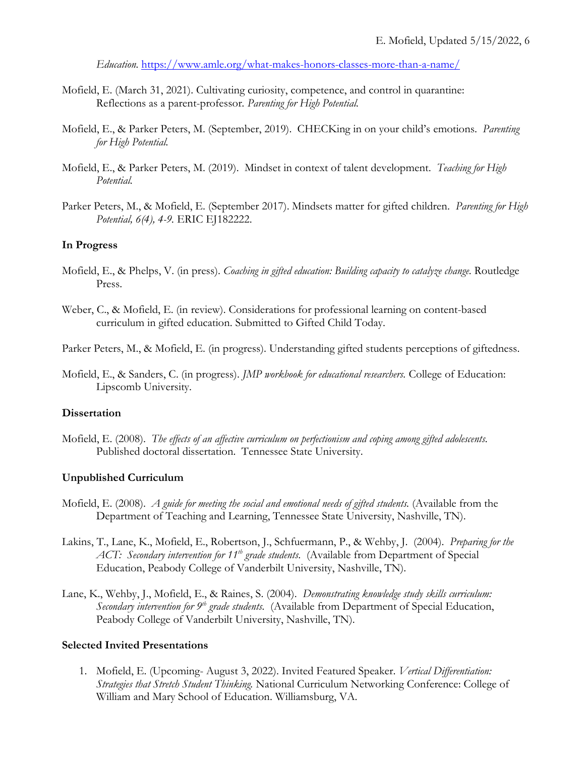*Education.* <https://www.amle.org/what-makes-honors-classes-more-than-a-name/>

- Mofield, E. (March 31, 2021). Cultivating curiosity, competence, and control in quarantine: Reflections as a parent-professor*. Parenting for High Potential.*
- Mofield, E., & Parker Peters, M. (September, 2019). CHECKing in on your child's emotions. *Parenting for High Potential.*
- Mofield, E., & Parker Peters, M. (2019). Mindset in context of talent development. *Teaching for High Potential.*
- Parker Peters, M., & Mofield, E. (September 2017). Mindsets matter for gifted children. *Parenting for High Potential, 6(4), 4-9.* ERIC EJ182222.

#### **In Progress**

- Mofield, E., & Phelps, V. (in press). *Coaching in gifted education: Building capacity to catalyze change.* Routledge Press.
- Weber, C., & Mofield, E. (in review). Considerations for professional learning on content-based curriculum in gifted education. Submitted to Gifted Child Today.

Parker Peters, M., & Mofield, E. (in progress). Understanding gifted students perceptions of giftedness.

Mofield, E., & Sanders, C. (in progress). *JMP workbook for educational researchers.* College of Education: Lipscomb University.

#### **Dissertation**

Mofield, E. (2008). *The effects of an affective curriculum on perfectionism and coping among gifted adolescents.* Published doctoral dissertation. Tennessee State University.

#### **Unpublished Curriculum**

- Mofield, E. (2008). *A guide for meeting the social and emotional needs of gifted students.* (Available from the Department of Teaching and Learning, Tennessee State University, Nashville, TN).
- Lakins, T., Lane, K., Mofield, E., Robertson, J., Schfuermann, P., & Wehby, J. (2004). *Preparing for the ACT: Secondary intervention for 11th grade students*. (Available from Department of Special Education, Peabody College of Vanderbilt University, Nashville, TN).
- Lane, K., Wehby, J., Mofield, E., & Raines, S. (2004). *Demonstrating knowledge study skills curriculum: Secondary intervention for 9th grade students.* (Available from Department of Special Education, Peabody College of Vanderbilt University, Nashville, TN).

#### **Selected Invited Presentations**

1. Mofield, E. (Upcoming- August 3, 2022). Invited Featured Speaker. *Vertical Differentiation: Strategies that Stretch Student Thinking.* National Curriculum Networking Conference: College of William and Mary School of Education. Williamsburg, VA.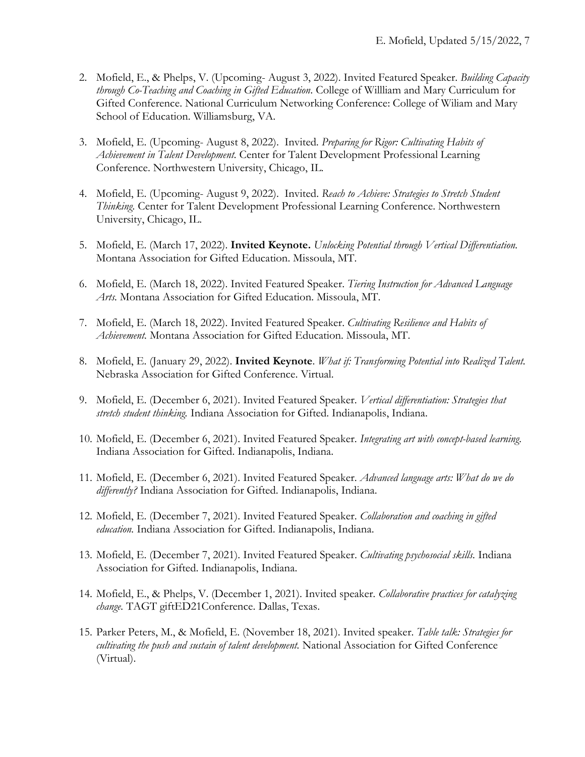- 2. Mofield, E., & Phelps, V. (Upcoming- August 3, 2022). Invited Featured Speaker. *Building Capacity through Co-Teaching and Coaching in Gifted Education.* College of Willliam and Mary Curriculum for Gifted Conference. National Curriculum Networking Conference: College of Wiliam and Mary School of Education. Williamsburg, VA.
- 3. Mofield, E. (Upcoming- August 8, 2022). Invited*. Preparing for Rigor: Cultivating Habits of Achievement in Talent Development.* Center for Talent Development Professional Learning Conference. Northwestern University, Chicago, IL.
- 4. Mofield, E. (Upcoming- August 9, 2022). Invited. *Reach to Achieve: Strategies to Stretch Student Thinking.* Center for Talent Development Professional Learning Conference. Northwestern University, Chicago, IL.
- 5. Mofield, E. (March 17, 2022). **Invited Keynote.** *Unlocking Potential through Vertical Differentiation.*  Montana Association for Gifted Education. Missoula, MT.
- 6. Mofield, E. (March 18, 2022). Invited Featured Speaker. *Tiering Instruction for Advanced Language Arts.* Montana Association for Gifted Education. Missoula, MT.
- 7. Mofield, E. (March 18, 2022). Invited Featured Speaker. *Cultivating Resilience and Habits of Achievement.* Montana Association for Gifted Education. Missoula, MT.
- 8. Mofield, E. (January 29, 2022). **Invited Keynote**. *What if: Transforming Potential into Realized Talent.*  Nebraska Association for Gifted Conference*.* Virtual.
- 9. Mofield, E. (December 6, 2021). Invited Featured Speaker. *Vertical differentiation: Strategies that stretch student thinking.* Indiana Association for Gifted. Indianapolis, Indiana.
- 10. Mofield, E. (December 6, 2021). Invited Featured Speaker. *Integrating art with concept-based learning.* Indiana Association for Gifted. Indianapolis, Indiana.
- 11. Mofield, E. (December 6, 2021). Invited Featured Speaker. *Advanced language arts: What do we do differently?* Indiana Association for Gifted. Indianapolis, Indiana.
- 12. Mofield, E. (December 7, 2021). Invited Featured Speaker. *Collaboration and coaching in gifted education.* Indiana Association for Gifted. Indianapolis, Indiana.
- 13. Mofield, E. (December 7, 2021). Invited Featured Speaker. *Cultivating psychosocial skills.* Indiana Association for Gifted. Indianapolis, Indiana.
- 14. Mofield, E., & Phelps, V. (December 1, 2021). Invited speaker*. Collaborative practices for catalyzing change.* TAGT giftED21Conference. Dallas, Texas.
- 15. Parker Peters, M., & Mofield, E. (November 18, 2021). Invited speaker. *Table talk: Strategies for cultivating the push and sustain of talent development.* National Association for Gifted Conference (Virtual).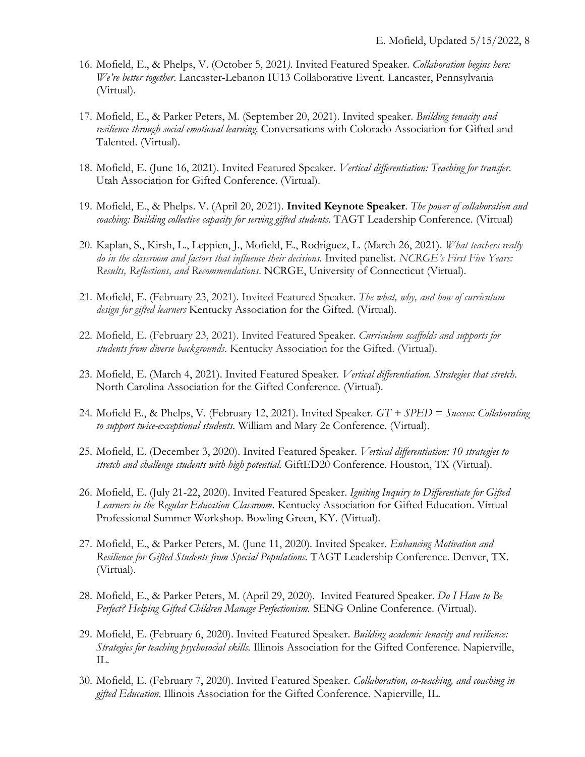- 16. Mofield, E., & Phelps, V. (October 5, 2021*).* Invited Featured Speaker. *Collaboration begins here: We're better together*. Lancaster-Lebanon IU13 Collaborative Event. Lancaster, Pennsylvania (Virtual).
- 17. Mofield, E., & Parker Peters, M. (September 20, 2021). Invited speaker. *Building tenacity and resilience through social-emotional learning*. Conversations with Colorado Association for Gifted and Talented. (Virtual).
- 18. Mofield, E. (June 16, 2021). Invited Featured Speaker. *Vertical differentiation: Teaching for transfer*. Utah Association for Gifted Conference. (Virtual).
- 19. Mofield, E., & Phelps. V. (April 20, 2021). **Invited Keynote Speaker**. *The power of collaboration and coaching: Building collective capacity for serving gifted students.* TAGT Leadership Conference. (Virtual)
- 20. Kaplan, S., Kirsh, L., Leppien, J., Mofield, E., Rodriguez, L. (March 26, 2021). *What teachers really do in the classroom and factors that influence their decisions.* Invited panelist. *NCRGE's First Five Years: Results, Reflections, and Recommendations*. NCRGE, University of Connecticut (Virtual).
- 21. Mofield, E. (February 23, 2021). Invited Featured Speaker. *The what, why, and how of curriculum design for gifted learners* Kentucky Association for the Gifted. (Virtual).
- 22. Mofield, E. (February 23, 2021). Invited Featured Speaker. *Curriculum scaffolds and supports for students from diverse backgrounds*. Kentucky Association for the Gifted. (Virtual).
- 23. Mofield, E. (March 4, 2021). Invited Featured Speaker*. Vertical differentiation. Strategies that stretch*. North Carolina Association for the Gifted Conference. (Virtual).
- 24. Mofield E., & Phelps, V. (February 12, 2021). Invited Speaker. *GT + SPED = Success: Collaborating to support twice-exceptional students.* William and Mary 2e Conference. (Virtual).
- 25. Mofield, E. (December 3, 2020). Invited Featured Speaker. *Vertical differentiation: 10 strategies to stretch and challenge students with high potential.* GiftED20 Conference. Houston, TX (Virtual).
- 26. Mofield, E. (July 21-22, 2020). Invited Featured Speaker. *Igniting Inquiry to Differentiate for Gifted Learners in the Regular Education Classroom*. Kentucky Association for Gifted Education. Virtual Professional Summer Workshop. Bowling Green, KY. (Virtual).
- 27. Mofield, E., & Parker Peters, M. (June 11, 2020). Invited Speaker. *Enhancing Motivation and Resilience for Gifted Students from Special Populations.* TAGT Leadership Conference. Denver, TX. (Virtual).
- 28. Mofield, E., & Parker Peters, M. (April 29, 2020). Invited Featured Speaker. *Do I Have to Be Perfect? Helping Gifted Children Manage Perfectionism.* SENG Online Conference. (Virtual).
- 29. Mofield, E. (February 6, 2020). Invited Featured Speaker. *Building academic tenacity and resilience: Strategies for teaching psychosocial skills.* Illinois Association for the Gifted Conference. Napierville, IL.
- 30. Mofield, E. (February 7, 2020). Invited Featured Speaker. *Collaboration, co-teaching, and coaching in gifted Education*. Illinois Association for the Gifted Conference. Napierville, IL.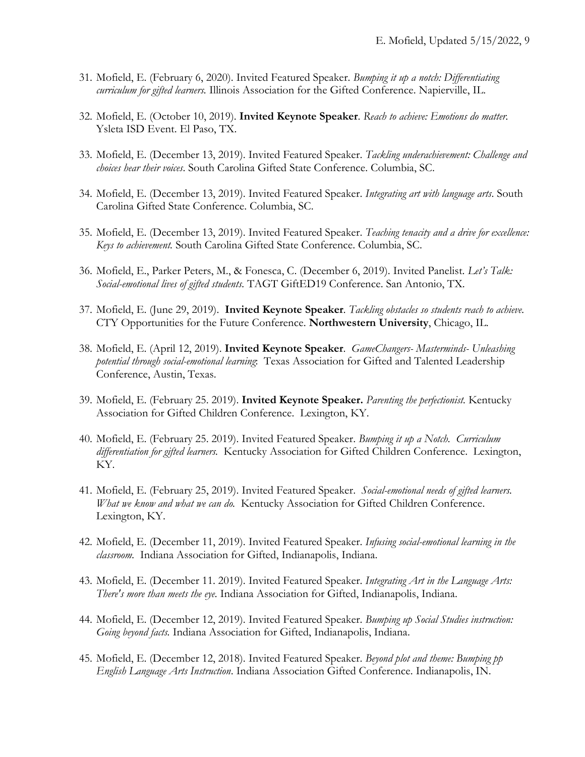- 31. Mofield, E. (February 6, 2020). Invited Featured Speaker. *Bumping it up a notch: Differentiating curriculum for gifted learners.* Illinois Association for the Gifted Conference. Napierville, IL.
- 32. Mofield, E. (October 10, 2019). **Invited Keynote Speaker**. *Reach to achieve: Emotions do matter.*  Ysleta ISD Event. El Paso, TX.
- 33. Mofield, E. (December 13, 2019). Invited Featured Speaker. *Tackling underachievement: Challenge and choices hear their voices*. South Carolina Gifted State Conference. Columbia, SC.
- 34. Mofield, E. (December 13, 2019). Invited Featured Speaker. *Integrating art with language arts*. South Carolina Gifted State Conference. Columbia, SC.
- 35. Mofield, E. (December 13, 2019). Invited Featured Speaker. *Teaching tenacity and a drive for excellence: Keys to achievement.* South Carolina Gifted State Conference. Columbia, SC.
- 36. Mofield, E., Parker Peters, M., & Fonesca, C. (December 6, 2019). Invited Panelist. *Let's Talk: Social-emotional lives of gifted students.* TAGT GiftED19 Conference. San Antonio, TX.
- 37. Mofield, E. (June 29, 2019). **Invited Keynote Speaker***. Tackling obstacles so students reach to achieve.* CTY Opportunities for the Future Conference. **Northwestern University**, Chicago, IL.
- 38. Mofield, E. (April 12, 2019). **Invited Keynote Speaker**. *GameChangers- Masterminds- Unleashing potential through social-emotional learning*: Texas Association for Gifted and Talented Leadership Conference, Austin, Texas.
- 39. Mofield, E. (February 25. 2019). **Invited Keynote Speaker.** *Parenting the perfectionist.* Kentucky Association for Gifted Children Conference. Lexington, KY.
- 40. Mofield, E. (February 25. 2019). Invited Featured Speaker. *Bumping it up a Notch. Curriculum differentiation for gifted learners.* Kentucky Association for Gifted Children Conference. Lexington, KY.
- 41. Mofield, E. (February 25, 2019). Invited Featured Speaker. *Social-emotional needs of gifted learners. What we know and what we can do.* Kentucky Association for Gifted Children Conference. Lexington, KY.
- 42. Mofield, E. (December 11, 2019). Invited Featured Speaker. *Infusing social-emotional learning in the classroom.* Indiana Association for Gifted, Indianapolis, Indiana.
- 43. Mofield, E. (December 11. 2019). Invited Featured Speaker. *Integrating Art in the Language Arts: There's more than meets the eye.* Indiana Association for Gifted, Indianapolis, Indiana.
- 44. Mofield, E. (December 12, 2019). Invited Featured Speaker. *Bumping up Social Studies instruction: Going beyond facts.* Indiana Association for Gifted, Indianapolis, Indiana.
- 45. Mofield, E. (December 12, 2018). Invited Featured Speaker. *Beyond plot and theme: Bumping pp English Language Arts Instruction*. Indiana Association Gifted Conference. Indianapolis, IN.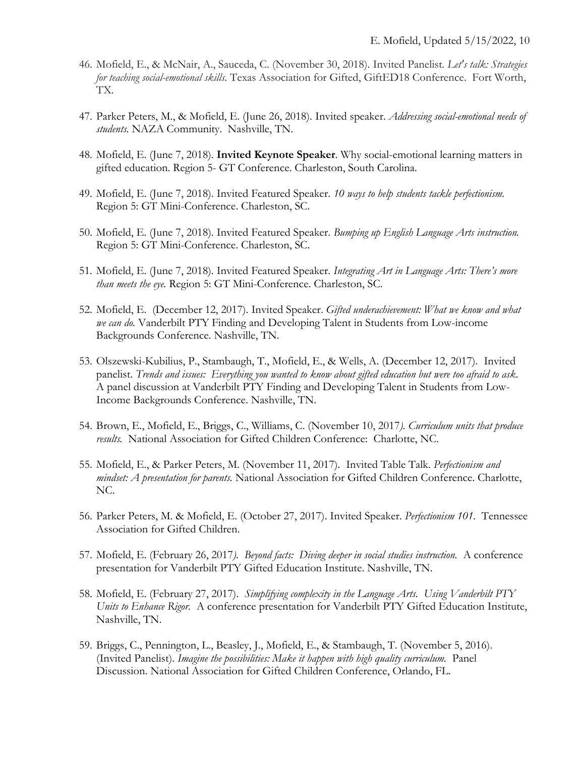- 46. Mofield, E., & McNair, A., Sauceda, C. (November 30, 2018). Invited Panelist. *Let's talk: Strategies for teaching social-emotional skills.* Texas Association for Gifted, GiftED18 Conference. Fort Worth, TX.
- 47. Parker Peters, M., & Mofield, E. (June 26, 2018). Invited speaker. *Addressing social-emotional needs of students.* NAZA Community. Nashville, TN.
- 48. Mofield, E. (June 7, 2018). **Invited Keynote Speaker**. Why social-emotional learning matters in gifted education. Region 5- GT Conference. Charleston, South Carolina.
- 49. Mofield, E. (June 7, 2018). Invited Featured Speaker. *10 ways to help students tackle perfectionism.*  Region 5: GT Mini-Conference. Charleston, SC.
- 50. Mofield, E. (June 7, 2018). Invited Featured Speaker. *Bumping up English Language Arts instruction.* Region 5: GT Mini-Conference. Charleston, SC.
- 51. Mofield, E. (June 7, 2018). Invited Featured Speaker. *Integrating Art in Language Arts: There's more than meets the eye.* Region 5: GT Mini-Conference. Charleston, SC.
- 52. Mofield, E. (December 12, 2017). Invited Speaker. *Gifted underachievement: What we know and what we can do.* Vanderbilt PTY Finding and Developing Talent in Students from Low-income Backgrounds Conference. Nashville, TN.
- 53. Olszewski-Kubilius, P., Stambaugh, T., Mofield, E., & Wells, A. (December 12, 2017). Invited panelist. *Trends and issues: Everything you wanted to know about gifted education but were too afraid to ask*. A panel discussion at Vanderbilt PTY Finding and Developing Talent in Students from Low-Income Backgrounds Conference. Nashville, TN.
- 54. Brown, E., Mofield, E., Briggs, C., Williams, C. (November 10, 2017*). Curriculum units that produce results.* National Association for Gifted Children Conference: Charlotte, NC.
- 55. Mofield, E., & Parker Peters, M. (November 11, 2017). Invited Table Talk. *Perfectionism and mindset: A presentation for parents.* National Association for Gifted Children Conference. Charlotte, NC.
- 56. Parker Peters, M. & Mofield, E. (October 27, 2017). Invited Speaker. *Perfectionism 101.* Tennessee Association for Gifted Children.
- 57. Mofield, E. (February 26, 2017*). Beyond facts: Diving deeper in social studies instruction.* A conference presentation for Vanderbilt PTY Gifted Education Institute. Nashville, TN.
- 58. Mofield, E. (February 27, 2017). *Simplifying complexity in the Language Arts. Using Vanderbilt PTY Units to Enhance Rigor.* A conference presentation for Vanderbilt PTY Gifted Education Institute, Nashville, TN.
- 59. Briggs, C., Pennington, L., Beasley, J., Mofield, E., & Stambaugh, T. (November 5, 2016). (Invited Panelist). *Imagine the possibilities: Make it happen with high quality curriculum.* Panel Discussion. National Association for Gifted Children Conference, Orlando, FL.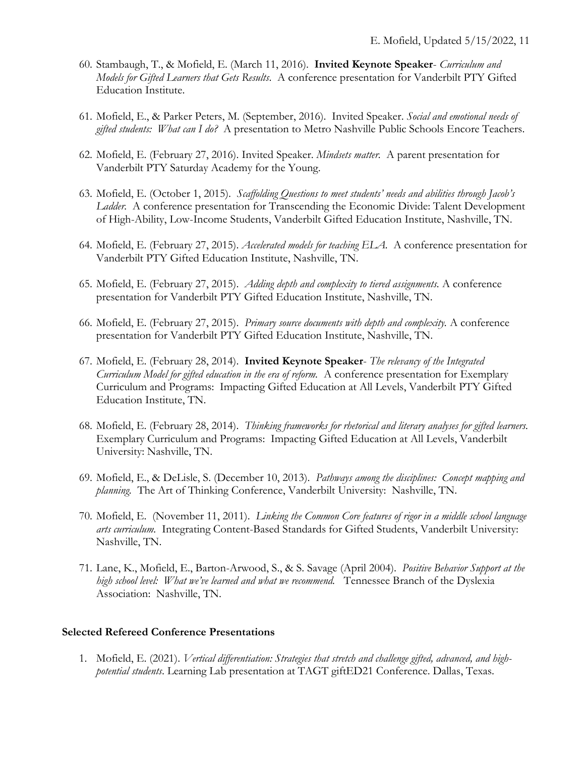- 60. Stambaugh, T., & Mofield, E. (March 11, 2016). **Invited Keynote Speaker** *Curriculum and Models for Gifted Learners that Gets Results*. A conference presentation for Vanderbilt PTY Gifted Education Institute.
- 61. Mofield, E., & Parker Peters, M. (September, 2016). Invited Speaker. *Social and emotional needs of gifted students: What can I do?* A presentation to Metro Nashville Public Schools Encore Teachers.
- 62. Mofield, E. (February 27, 2016). Invited Speaker. *Mindsets matter.* A parent presentation for Vanderbilt PTY Saturday Academy for the Young.
- 63. Mofield, E. (October 1, 2015). *Scaffolding Questions to meet students' needs and abilities through Jacob's Ladder.* A conference presentation for Transcending the Economic Divide: Talent Development of High-Ability, Low-Income Students, Vanderbilt Gifted Education Institute, Nashville, TN.
- 64. Mofield, E. (February 27, 2015). *Accelerated models for teaching ELA.* A conference presentation for Vanderbilt PTY Gifted Education Institute, Nashville, TN.
- 65. Mofield, E. (February 27, 2015). *Adding depth and complexity to tiered assignments.* A conference presentation for Vanderbilt PTY Gifted Education Institute, Nashville, TN.
- 66. Mofield, E. (February 27, 2015). *Primary source documents with depth and complexity.* A conference presentation for Vanderbilt PTY Gifted Education Institute, Nashville, TN.
- 67. Mofield, E. (February 28, 2014). **Invited Keynote Speaker** *The relevancy of the Integrated Curriculum Model for gifted education in the era of reform.* A conference presentation for Exemplary Curriculum and Programs: Impacting Gifted Education at All Levels, Vanderbilt PTY Gifted Education Institute, TN.
- 68. Mofield, E. (February 28, 2014). *Thinking frameworks for rhetorical and literary analyses for gifted learners.* Exemplary Curriculum and Programs: Impacting Gifted Education at All Levels, Vanderbilt University: Nashville, TN.
- 69. Mofield, E., & DeLisle, S. (December 10, 2013). *Pathways among the disciplines: Concept mapping and planning.* The Art of Thinking Conference, Vanderbilt University: Nashville, TN.
- 70. Mofield, E. (November 11, 2011). *Linking the Common Core features of rigor in a middle school language arts curriculum.* Integrating Content-Based Standards for Gifted Students, Vanderbilt University: Nashville, TN.
- 71. Lane, K., Mofield, E., Barton-Arwood, S., & S. Savage (April 2004). *Positive Behavior Support at the high school level: What we've learned and what we recommend.* Tennessee Branch of the Dyslexia Association: Nashville, TN.

### **Selected Refereed Conference Presentations**

1. Mofield, E. (2021). *Vertical differentiation: Strategies that stretch and challenge gifted, advanced, and highpotential students*. Learning Lab presentation at TAGT giftED21 Conference. Dallas, Texas.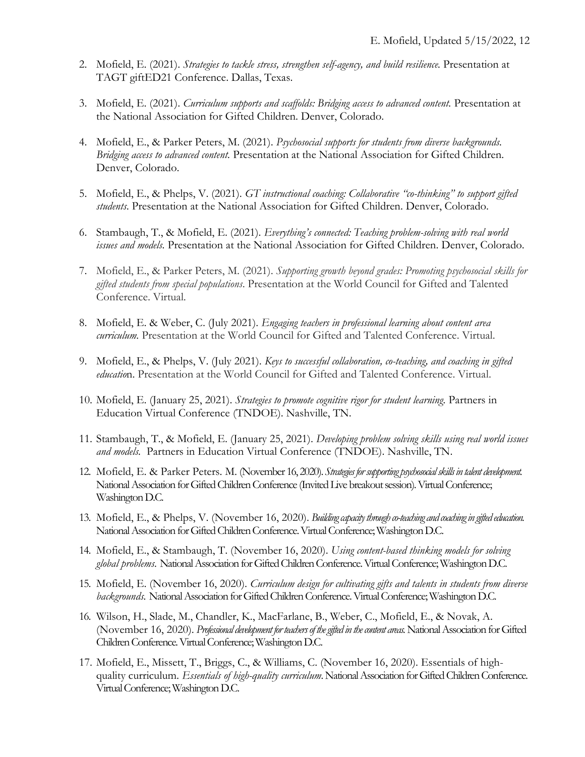- 2. Mofield, E. (2021). *Strategies to tackle stress, strengthen self-agency, and build resilience.* Presentation at TAGT giftED21 Conference. Dallas, Texas.
- 3. Mofield, E. (2021). *Curriculum supports and scaffolds: Bridging access to advanced content.* Presentation at the National Association for Gifted Children. Denver, Colorado.
- 4. Mofield, E., & Parker Peters, M. (2021). *Psychosocial supports for students from diverse backgrounds. Bridging access to advanced content.* Presentation at the National Association for Gifted Children. Denver, Colorado.
- 5. Mofield, E., & Phelps, V. (2021). *GT instructional coaching: Collaborative "co-thinking" to support gifted students*. Presentation at the National Association for Gifted Children. Denver, Colorado.
- 6. Stambaugh, T., & Mofield, E. (2021). *Everything's connected: Teaching problem-solving with real world issues and models.* Presentation at the National Association for Gifted Children. Denver, Colorado.
- 7. Mofield, E., & Parker Peters, M. (2021). *Supporting growth beyond grades: Promoting psychosocial skills for gifted students from special populations*. Presentation at the World Council for Gifted and Talented Conference. Virtual.
- 8. Mofield, E. & Weber, C. (July 2021). *Engaging teachers in professional learning about content area curriculum.* Presentation at the World Council for Gifted and Talented Conference. Virtual.
- 9. Mofield, E., & Phelps, V. (July 2021). *Keys to successful collaboration, co-teaching, and coaching in gifted educatio*n. Presentation at the World Council for Gifted and Talented Conference. Virtual.
- 10. Mofield, E. (January 25, 2021). *Strategies to promote cognitive rigor for student learning.* Partners in Education Virtual Conference (TNDOE). Nashville, TN.
- 11. Stambaugh, T., & Mofield, E. (January 25, 2021). *Developing problem solving skills using real world issues and models.* Partners in Education Virtual Conference (TNDOE). Nashville, TN.
- 12. Mofield, E. & Parker Peters. M. (November 16, 2020). *Strategies for supporting psychosocial skills in talent development.* National Association for Gifted Children Conference (Invited Live breakout session). Virtual Conference; Washington D.C.
- 13. Mofield, E., & Phelps, V. (November 16, 2020). *Building capacity through co-teaching and coaching in gifted education.* National Association for Gifted Children Conference. Virtual Conference; Washington D.C.
- 14. Mofield, E., & Stambaugh, T. (November 16, 2020). *Using content-based thinking models for solving global problems.* National Association for Gifted Children Conference. Virtual Conference; Washington D.C.
- 15. Mofield, E. (November 16, 2020). *Curriculum design for cultivating gifts and talents in students from diverse backgrounds.* National Association for Gifted Children Conference. Virtual Conference; Washington D.C.
- 16. Wilson, H., Slade, M., Chandler, K., MacFarlane, B., Weber, C., Mofield, E., & Novak, A. (November 16, 2020). *Professional development for teachers of the gifted in the content areas.*National Association for Gifted Children Conference. Virtual Conference; Washington D.C.
- 17. Mofield, E., Missett, T., Briggs, C., & Williams, C. (November 16, 2020). Essentials of highquality curriculum. *Essentials of high-quality curriculum.* National Association for Gifted Children Conference. Virtual Conference; Washington D.C.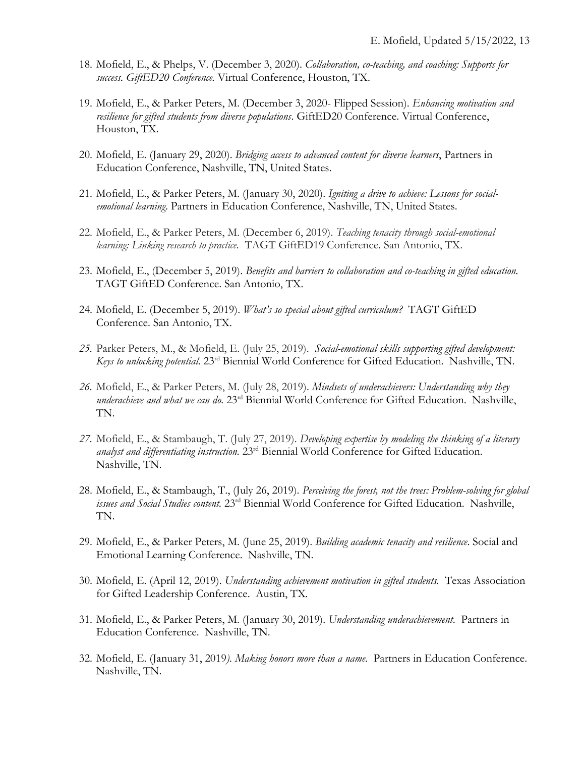- 18. Mofield, E., & Phelps, V. (December 3, 2020). *Collaboration, co-teaching, and coaching: Supports for success. GiftED20 Conference.* Virtual Conference, Houston, TX.
- 19. Mofield, E., & Parker Peters, M. (December 3, 2020- Flipped Session). *Enhancing motivation and resilience for gifted students from diverse populations*. GiftED20 Conference. Virtual Conference, Houston, TX.
- 20. Mofield, E. (January 29, 2020). *Bridging access to advanced content for diverse learners*, Partners in Education Conference, Nashville, TN, United States.
- 21. Mofield, E., & Parker Peters, M. (January 30, 2020). *Igniting a drive to achieve: Lessons for socialemotional learning*. Partners in Education Conference, Nashville, TN, United States.
- 22. Mofield, E., & Parker Peters, M. (December 6, 2019). *Teaching tenacity through social-emotional learning: Linking research to practice.* TAGT GiftED19 Conference. San Antonio, TX.
- 23. Mofield, E., (December 5, 2019). *Benefits and barriers to collaboration and co-teaching in gifted education.* TAGT GiftED Conference. San Antonio, TX.
- 24. Mofield, E. (December 5, 2019). *What's so special about gifted curriculum?* TAGT GiftED Conference. San Antonio, TX.
- *25.* Parker Peters, M., & Mofield, E. (July 25, 2019). *Social-emotional skills supporting gifted development: Keys to unlocking potential.* 23rd Biennial World Conference for Gifted Education. Nashville, TN.
- *26.* Mofield, E., & Parker Peters, M. (July 28, 2019). *Mindsets of underachievers: Understanding why they underachieve and what we can do.* 23<sup>rd</sup> Biennial World Conference for Gifted Education. Nashville, TN.
- *27.* Mofield, E., & Stambaugh, T. (July 27, 2019). *Developing expertise by modeling the thinking of a literary analyst and differentiating instruction.* 23rd Biennial World Conference for Gifted Education. Nashville, TN.
- 28. Mofield, E., & Stambaugh, T., (July 26, 2019). *Perceiving the forest, not the trees: Problem-solving for global issues and Social Studies content.* 23rd Biennial World Conference for Gifted Education. Nashville, TN.
- 29. Mofield, E., & Parker Peters, M. (June 25, 2019). *Building academic tenacity and resilience*. Social and Emotional Learning Conference. Nashville, TN.
- 30. Mofield, E. (April 12, 2019). *Understanding achievement motivation in gifted students.* Texas Association for Gifted Leadership Conference. Austin, TX.
- 31. Mofield, E., & Parker Peters, M. (January 30, 2019). *Understanding underachievement*. Partners in Education Conference. Nashville, TN.
- 32. Mofield, E. (January 31, 2019*). Making honors more than a name*. Partners in Education Conference. Nashville, TN.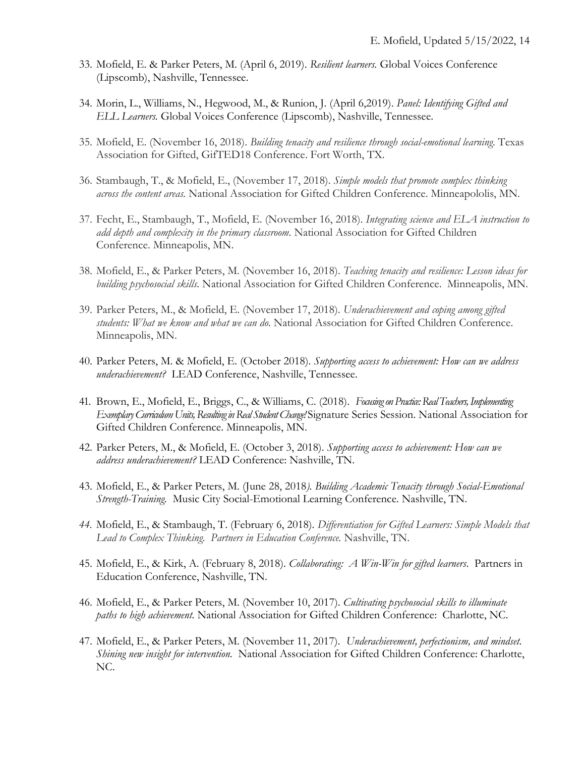- 33. Mofield, E. & Parker Peters, M. (April 6, 2019). *Resilient learners.* Global Voices Conference (Lipscomb), Nashville, Tennessee.
- 34. Morin, L., Williams, N., Hegwood, M., & Runion, J. (April 6,2019). *Panel: Identifying Gifted and ELL Learners.* Global Voices Conference (Lipscomb), Nashville, Tennessee.
- 35. Mofield, E. (November 16, 2018). *Building tenacity and resilience through social-emotional learning.* Texas Association for Gifted, GifTED18 Conference. Fort Worth, TX.
- 36. Stambaugh, T., & Mofield, E., (November 17, 2018). *Simple models that promote complex thinking across the content areas.* National Association for Gifted Children Conference. Minneapololis, MN.
- 37. Fecht, E., Stambaugh, T., Mofield, E. (November 16, 2018). *Integrating science and ELA instruction to add depth and complexity in the primary classroom.* National Association for Gifted Children Conference. Minneapolis, MN.
- 38. Mofield, E., & Parker Peters, M. (November 16, 2018). *Teaching tenacity and resilience: Lesson ideas for building psychosocial skills.* National Association for Gifted Children Conference. Minneapolis, MN.
- 39. Parker Peters, M., & Mofield, E. (November 17, 2018). *Underachievement and coping among gifted students: What we know and what we can do*. National Association for Gifted Children Conference. Minneapolis, MN.
- 40. Parker Peters, M. & Mofield, E. (October 2018). *Supporting access to achievement: How can we address underachievement?* LEAD Conference, Nashville, Tennessee.
- 41. Brown, E., Mofield, E., Briggs, C., & Williams, C. (2018). *Focusing on Practice: Real Teachers, Implementing Exemplary Curriculum Units, Resulting in Real Student Change!* Signature Series Session. National Association for Gifted Children Conference. Minneapolis, MN.
- 42. Parker Peters, M., & Mofield, E. (October 3, 2018). *Supporting access to achievement: How can we address underachievement?* LEAD Conference: Nashville, TN.
- 43. Mofield, E., & Parker Peters, M. (June 28, 2018*). Building Academic Tenacity through Social-Emotional Strength-Training.* Music City Social-Emotional Learning Conference. Nashville, TN.
- *44.* Mofield, E., & Stambaugh, T. (February 6, 2018). *Differentiation for Gifted Learners: Simple Models that Lead to Complex Thinking. Partners in Education Conference.* Nashville, TN.
- 45. Mofield, E., & Kirk, A. (February 8, 2018). *Collaborating: A Win-Win for gifted learners*. Partners in Education Conference, Nashville, TN.
- 46. Mofield, E., & Parker Peters, M. (November 10, 2017). *Cultivating psychosocial skills to illuminate paths to high achievement.* National Association for Gifted Children Conference: Charlotte, NC.
- 47. Mofield, E., & Parker Peters, M. (November 11, 2017). *Underachievement, perfectionism, and mindset. Shining new insight for intervention.* National Association for Gifted Children Conference: Charlotte, NC.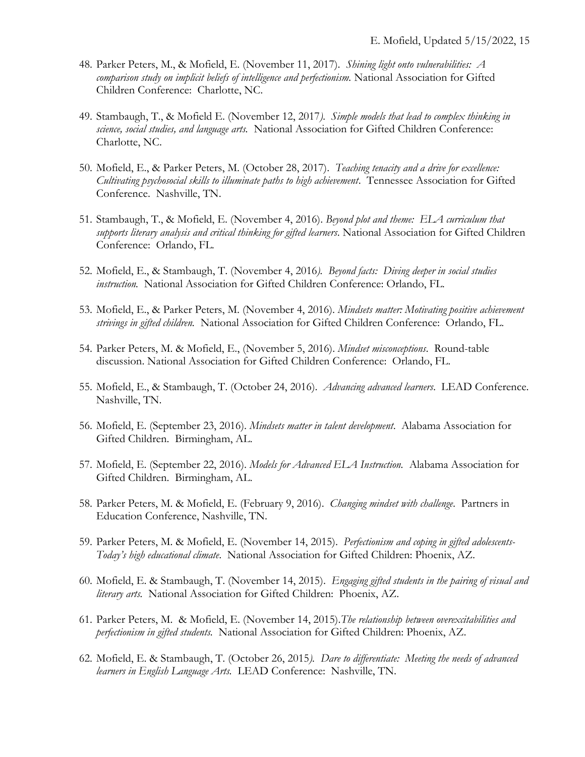- 48. Parker Peters, M., & Mofield, E. (November 11, 2017). *Shining light onto vulnerabilities: A comparison study on implicit beliefs of intelligence and perfectionism.* National Association for Gifted Children Conference: Charlotte, NC.
- 49. Stambaugh, T., & Mofield E. (November 12, 2017*). Simple models that lead to complex thinking in science, social studies, and language arts.* National Association for Gifted Children Conference: Charlotte, NC.
- 50. Mofield, E., & Parker Peters, M. (October 28, 2017). *Teaching tenacity and a drive for excellence: Cultivating psychosocial skills to illuminate paths to high achievement*. Tennessee Association for Gifted Conference. Nashville, TN.
- 51. Stambaugh, T., & Mofield, E. (November 4, 2016). *Beyond plot and theme: ELA curriculum that supports literary analysis and critical thinking for gifted learners*. National Association for Gifted Children Conference: Orlando, FL.
- 52. Mofield, E., & Stambaugh, T. (November 4, 2016*). Beyond facts: Diving deeper in social studies instruction.* National Association for Gifted Children Conference: Orlando, FL.
- 53. Mofield, E., & Parker Peters, M. (November 4, 2016). *Mindsets matter: Motivating positive achievement strivings in gifted children.* National Association for Gifted Children Conference: Orlando, FL.
- 54. Parker Peters, M. & Mofield, E., (November 5, 2016). *Mindset misconceptions*. Round-table discussion. National Association for Gifted Children Conference: Orlando, FL.
- 55. Mofield, E., & Stambaugh, T. (October 24, 2016). *Advancing advanced learners*. LEAD Conference. Nashville, TN.
- 56. Mofield, E. (September 23, 2016). *Mindsets matter in talent development*. Alabama Association for Gifted Children. Birmingham, AL.
- 57. Mofield, E. (September 22, 2016). *Models for Advanced ELA Instruction.* Alabama Association for Gifted Children. Birmingham, AL.
- 58. Parker Peters, M. & Mofield, E. (February 9, 2016). *Changing mindset with challenge*. Partners in Education Conference, Nashville, TN.
- 59. Parker Peters, M. & Mofield, E. (November 14, 2015). *Perfectionism and coping in gifted adolescents-Today's high educational climate*. National Association for Gifted Children: Phoenix, AZ.
- 60. Mofield, E. & Stambaugh, T. (November 14, 2015). *Engaging gifted students in the pairing of visual and literary arts.* National Association for Gifted Children: Phoenix, AZ.
- 61. Parker Peters, M. & Mofield, E. (November 14, 2015).*The relationship between overexcitabilities and perfectionism in gifted students.* National Association for Gifted Children: Phoenix, AZ.
- 62. Mofield, E. & Stambaugh, T. (October 26, 2015*). Dare to differentiate: Meeting the needs of advanced learners in English Language Arts.* LEAD Conference: Nashville, TN.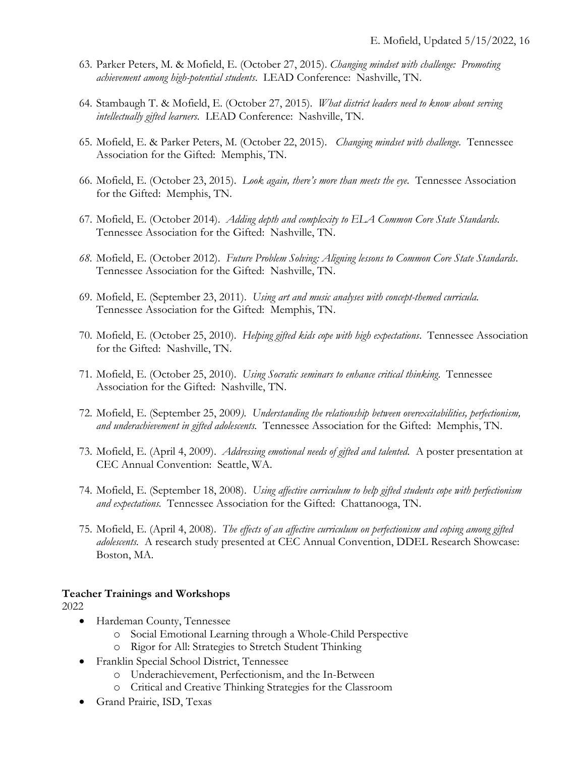- 63. Parker Peters, M. & Mofield, E. (October 27, 2015). *Changing mindset with challenge: Promoting achievement among high-potential students*. LEAD Conference: Nashville, TN.
- 64. Stambaugh T. & Mofield, E. (October 27, 2015). *What district leaders need to know about serving intellectually gifted learners.* LEAD Conference: Nashville, TN.
- 65. Mofield, E. & Parker Peters, M. (October 22, 2015). *Changing mindset with challenge.* Tennessee Association for the Gifted: Memphis, TN.
- 66. Mofield, E. (October 23, 2015). *Look again, there's more than meets the eye.* Tennessee Association for the Gifted: Memphis, TN.
- 67. Mofield, E. (October 2014). *Adding depth and complexity to ELA Common Core State Standards.* Tennessee Association for the Gifted: Nashville, TN.
- *68.* Mofield, E. (October 2012). *Future Problem Solving: Aligning lessons to Common Core State Standards*. Tennessee Association for the Gifted: Nashville, TN.
- 69. Mofield, E. (September 23, 2011). *Using art and music analyses with concept-themed curricula.*  Tennessee Association for the Gifted: Memphis, TN.
- 70. Mofield, E. (October 25, 2010). *Helping gifted kids cope with high expectations*. Tennessee Association for the Gifted:Nashville, TN.
- 71. Mofield, E. (October 25, 2010). *Using Socratic seminars to enhance critical thinking*. Tennessee Association for the Gifted: Nashville, TN.
- 72. Mofield, E. (September 25, 2009*). Understanding the relationship between overexcitabilities, perfectionism, and underachievement in gifted adolescents.* Tennessee Association for the Gifted: Memphis, TN.
- 73. Mofield, E. (April 4, 2009). *Addressing emotional needs of gifted and talented.* A poster presentation at CEC Annual Convention: Seattle, WA.
- 74. Mofield, E. (September 18, 2008). *Using affective curriculum to help gifted students cope with perfectionism and expectations.* Tennessee Association for the Gifted: Chattanooga, TN.
- 75. Mofield, E. (April 4, 2008). *The effects of an affective curriculum on perfectionism and coping among gifted adolescents.* A research study presented at CEC Annual Convention, DDEL Research Showcase: Boston, MA.

#### **Teacher Trainings and Workshops**

2022

- Hardeman County, Tennessee
	- o Social Emotional Learning through a Whole-Child Perspective
	- o Rigor for All: Strategies to Stretch Student Thinking
- Franklin Special School District, Tennessee
	- o Underachievement, Perfectionism, and the In-Between
	- o Critical and Creative Thinking Strategies for the Classroom
- Grand Prairie, ISD, Texas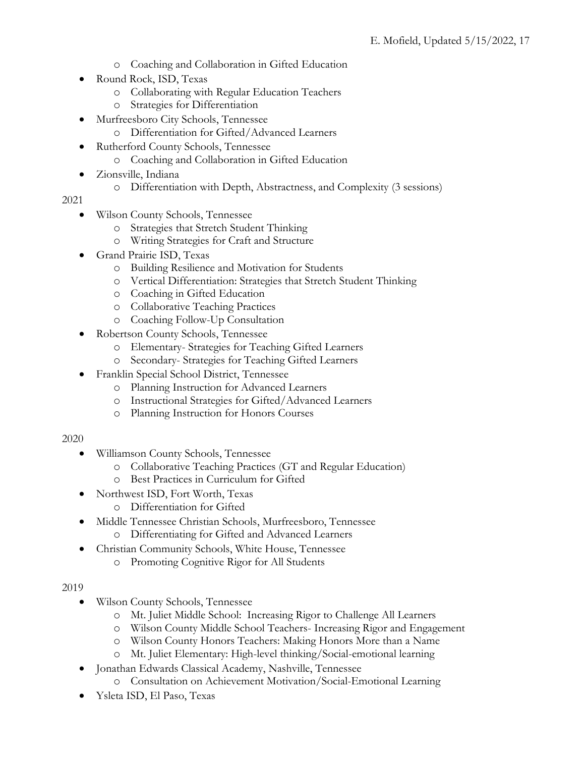- o Coaching and Collaboration in Gifted Education
- Round Rock, ISD, Texas
	- o Collaborating with Regular Education Teachers
	- o Strategies for Differentiation
	- Murfreesboro City Schools, Tennessee
		- o Differentiation for Gifted/Advanced Learners
- Rutherford County Schools, Tennessee
	- o Coaching and Collaboration in Gifted Education
- Zionsville, Indiana
	- o Differentiation with Depth, Abstractness, and Complexity (3 sessions)

2021

- Wilson County Schools, Tennessee
	- o Strategies that Stretch Student Thinking
	- o Writing Strategies for Craft and Structure
- Grand Prairie ISD, Texas
	- o Building Resilience and Motivation for Students
	- o Vertical Differentiation: Strategies that Stretch Student Thinking
	- o Coaching in Gifted Education
	- o Collaborative Teaching Practices
	- o Coaching Follow-Up Consultation
- Robertson County Schools, Tennessee
	- o Elementary- Strategies for Teaching Gifted Learners
	- o Secondary- Strategies for Teaching Gifted Learners
- Franklin Special School District, Tennessee
	- o Planning Instruction for Advanced Learners
	- o Instructional Strategies for Gifted/Advanced Learners
	- o Planning Instruction for Honors Courses
- 2020
	- Williamson County Schools, Tennessee
		- o Collaborative Teaching Practices (GT and Regular Education)
		- o Best Practices in Curriculum for Gifted
	- Northwest ISD, Fort Worth, Texas
		- o Differentiation for Gifted
	- Middle Tennessee Christian Schools, Murfreesboro, Tennessee o Differentiating for Gifted and Advanced Learners
		- Christian Community Schools, White House, Tennessee
			- o Promoting Cognitive Rigor for All Students

2019

- Wilson County Schools, Tennessee
	- o Mt. Juliet Middle School: Increasing Rigor to Challenge All Learners
	- o Wilson County Middle School Teachers- Increasing Rigor and Engagement
	- o Wilson County Honors Teachers: Making Honors More than a Name
	- o Mt. Juliet Elementary: High-level thinking/Social-emotional learning
- Jonathan Edwards Classical Academy, Nashville, Tennessee
	- o Consultation on Achievement Motivation/Social-Emotional Learning
- Ysleta ISD, El Paso, Texas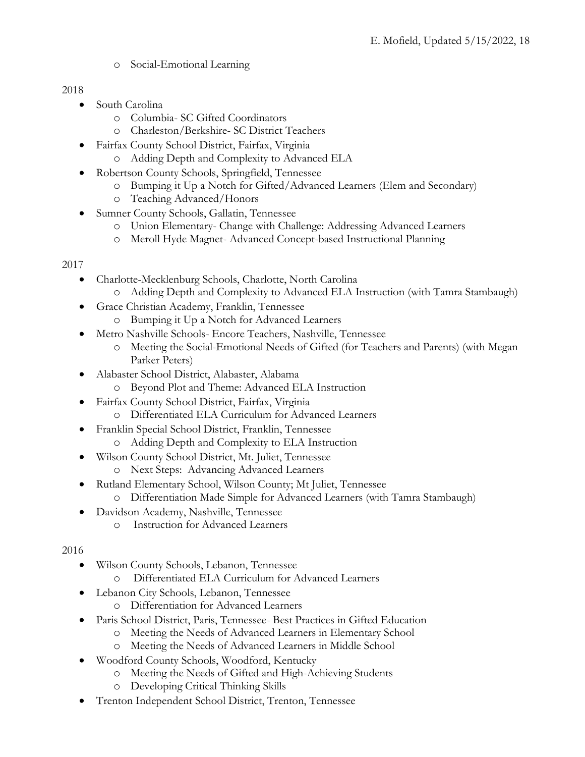o Social-Emotional Learning

### 2018

- South Carolina
	- o Columbia- SC Gifted Coordinators
	- o Charleston/Berkshire- SC District Teachers
- Fairfax County School District, Fairfax, Virginia
	- o Adding Depth and Complexity to Advanced ELA
- Robertson County Schools, Springfield, Tennessee
	- o Bumping it Up a Notch for Gifted/Advanced Learners (Elem and Secondary)
	- o Teaching Advanced/Honors
- Sumner County Schools, Gallatin, Tennessee
	- o Union Elementary- Change with Challenge: Addressing Advanced Learners
	- Meroll Hyde Magnet- Advanced Concept-based Instructional Planning

# 2017

- Charlotte-Mecklenburg Schools, Charlotte, North Carolina
	- o Adding Depth and Complexity to Advanced ELA Instruction (with Tamra Stambaugh)
- Grace Christian Academy, Franklin, Tennessee
	- o Bumping it Up a Notch for Advanced Learners
- Metro Nashville Schools- Encore Teachers, Nashville, Tennessee
	- o Meeting the Social-Emotional Needs of Gifted (for Teachers and Parents) (with Megan Parker Peters)
- Alabaster School District, Alabaster, Alabama
	- o Beyond Plot and Theme: Advanced ELA Instruction
- Fairfax County School District, Fairfax, Virginia
	- o Differentiated ELA Curriculum for Advanced Learners
- Franklin Special School District, Franklin, Tennessee
	- o Adding Depth and Complexity to ELA Instruction
- Wilson County School District, Mt. Juliet, Tennessee o Next Steps: Advancing Advanced Learners
- Rutland Elementary School, Wilson County; Mt Juliet, Tennessee
	- o Differentiation Made Simple for Advanced Learners (with Tamra Stambaugh)
- Davidson Academy, Nashville, Tennessee
	- o Instruction for Advanced Learners

## 2016

- Wilson County Schools, Lebanon, Tennessee
	- o Differentiated ELA Curriculum for Advanced Learners
- Lebanon City Schools, Lebanon, Tennessee
	- o Differentiation for Advanced Learners
- Paris School District, Paris, Tennessee- Best Practices in Gifted Education
	- o Meeting the Needs of Advanced Learners in Elementary School
	- o Meeting the Needs of Advanced Learners in Middle School
- Woodford County Schools, Woodford, Kentucky
	- o Meeting the Needs of Gifted and High-Achieving Students
	- o Developing Critical Thinking Skills
- Trenton Independent School District, Trenton, Tennessee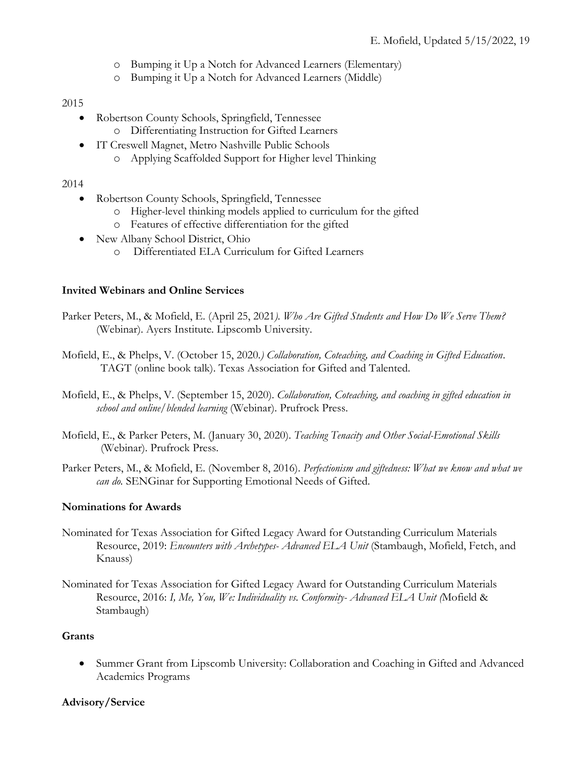- o Bumping it Up a Notch for Advanced Learners (Elementary)
- o Bumping it Up a Notch for Advanced Learners (Middle)

### 2015

- Robertson County Schools, Springfield, Tennessee
	- o Differentiating Instruction for Gifted Learners
- IT Creswell Magnet, Metro Nashville Public Schools
	- o Applying Scaffolded Support for Higher level Thinking

### 2014

- Robertson County Schools, Springfield, Tennessee
	- o Higher-level thinking models applied to curriculum for the gifted
	- o Features of effective differentiation for the gifted
- New Albany School District, Ohio
	- o Differentiated ELA Curriculum for Gifted Learners

### **Invited Webinars and Online Services**

Parker Peters, M., & Mofield, E. (April 25, 2021*). Who Are Gifted Students and How Do We Serve Them?* (Webinar). Ayers Institute. Lipscomb University.

- Mofield, E., & Phelps, V. (October 15, 2020*.) Collaboration, Coteaching, and Coaching in Gifted Education*. TAGT (online book talk). Texas Association for Gifted and Talented.
- Mofield, E., & Phelps, V. (September 15, 2020). *Collaboration, Coteaching, and coaching in gifted education in school and online/blended learning* (Webinar). Prufrock Press.
- Mofield, E., & Parker Peters, M. (January 30, 2020). *Teaching Tenacity and Other Social-Emotional Skills* (Webinar). Prufrock Press.
- Parker Peters, M., & Mofield, E. (November 8, 2016). *Perfectionism and giftedness: What we know and what we can do.* SENGinar for Supporting Emotional Needs of Gifted.

### **Nominations for Awards**

- Nominated for Texas Association for Gifted Legacy Award for Outstanding Curriculum Materials Resource, 2019: *Encounters with Archetypes- Advanced ELA Unit* (Stambaugh, Mofield, Fetch, and Knauss)
- Nominated for Texas Association for Gifted Legacy Award for Outstanding Curriculum Materials Resource, 2016: *I, Me, You, We: Individuality vs. Conformity- Advanced ELA Unit (*Mofield & Stambaugh)

### **Grants**

• Summer Grant from Lipscomb University: Collaboration and Coaching in Gifted and Advanced Academics Programs

### **Advisory/Service**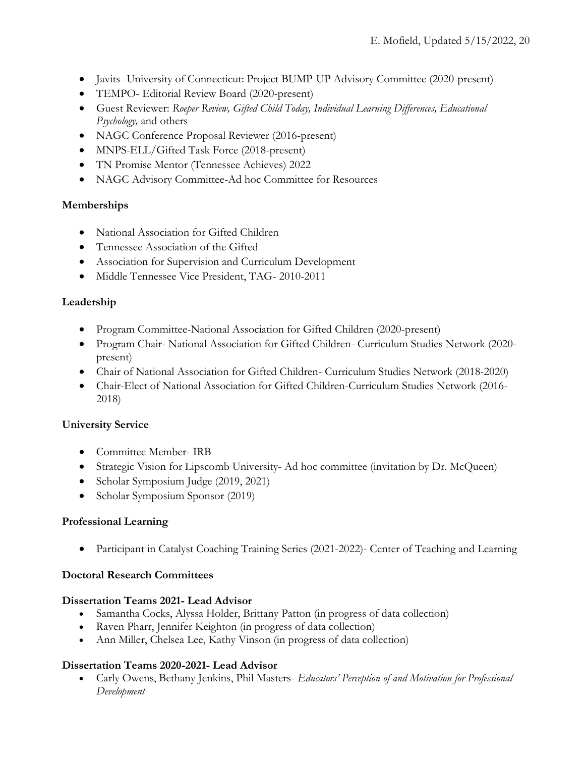- Javits- University of Connecticut: Project BUMP-UP Advisory Committee (2020-present)
- TEMPO- Editorial Review Board (2020-present)
- Guest Reviewer: *Roeper Review, Gifted Child Today, Individual Learning Differences, Educational Psychology,* and others
- NAGC Conference Proposal Reviewer (2016-present)
- MNPS-ELL/Gifted Task Force (2018-present)
- TN Promise Mentor (Tennessee Achieves) 2022
- NAGC Advisory Committee-Ad hoc Committee for Resources

### **Memberships**

- National Association for Gifted Children
- Tennessee Association of the Gifted
- Association for Supervision and Curriculum Development
- Middle Tennessee Vice President, TAG- 2010-2011

## **Leadership**

- Program Committee-National Association for Gifted Children (2020-present)
- Program Chair- National Association for Gifted Children- Curriculum Studies Network (2020 present)
- Chair of National Association for Gifted Children- Curriculum Studies Network (2018-2020)
- Chair-Elect of National Association for Gifted Children-Curriculum Studies Network (2016- 2018)

## **University Service**

- Committee Member- IRB
- Strategic Vision for Lipscomb University- Ad hoc committee (invitation by Dr. McQueen)
- Scholar Symposium Judge (2019, 2021)
- Scholar Symposium Sponsor (2019)

### **Professional Learning**

• Participant in Catalyst Coaching Training Series (2021-2022)- Center of Teaching and Learning

### **Doctoral Research Committees**

### **Dissertation Teams 2021- Lead Advisor**

- Samantha Cocks, Alyssa Holder, Brittany Patton (in progress of data collection)
- Raven Pharr, Jennifer Keighton (in progress of data collection)
- Ann Miller, Chelsea Lee, Kathy Vinson (in progress of data collection)

### **Dissertation Teams 2020-2021- Lead Advisor**

• Carly Owens, Bethany Jenkins, Phil Masters- *Educators' Perception of and Motivation for Professional Development*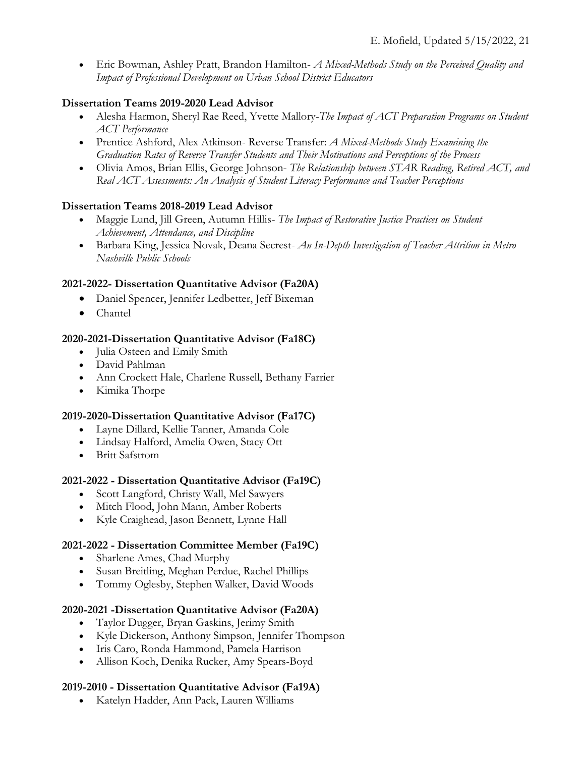• Eric Bowman, Ashley Pratt, Brandon Hamilton- *A Mixed-Methods Study on the Perceived Quality and Impact of Professional Development on Urban School District Educators*

# **Dissertation Teams 2019-2020 Lead Advisor**

- Alesha Harmon, Sheryl Rae Reed, Yvette Mallory-*The Impact of ACT Preparation Programs on Student ACT Performance*
- Prentice Ashford, Alex Atkinson- Reverse Transfer: *A Mixed-Methods Study Examining the Graduation Rates of Reverse Transfer Students and Their Motivations and Perceptions of the Process*
- Olivia Amos, Brian Ellis, George Johnson- *The Relationship between STAR Reading, Retired ACT, and Real ACT Assessments: An Analysis of Student Literacy Performance and Teacher Perceptions*

# **Dissertation Teams 2018-2019 Lead Advisor**

- Maggie Lund, Jill Green, Autumn Hillis- *The Impact of Restorative Justice Practices on Student Achievement, Attendance, and Discipline*
- Barbara King, Jessica Novak, Deana Secrest- *An In-Depth Investigation of Teacher Attrition in Metro Nashville Public Schools*

# **2021-2022- Dissertation Quantitative Advisor (Fa20A)**

- Daniel Spencer, Jennifer Ledbetter, Jeff Bixeman
- Chantel

# **2020-2021-Dissertation Quantitative Advisor (Fa18C)**

- Julia Osteen and Emily Smith
- David Pahlman
- Ann Crockett Hale, Charlene Russell, Bethany Farrier
- Kimika Thorpe

## **2019-2020-Dissertation Quantitative Advisor (Fa17C)**

- Layne Dillard, Kellie Tanner, Amanda Cole
- Lindsay Halford, Amelia Owen, Stacy Ott
- Britt Safstrom

## **2021-2022 - Dissertation Quantitative Advisor (Fa19C)**

- Scott Langford, Christy Wall, Mel Sawyers
- Mitch Flood, John Mann, Amber Roberts
- Kyle Craighead, Jason Bennett, Lynne Hall

## **2021-2022 - Dissertation Committee Member (Fa19C)**

- Sharlene Ames, Chad Murphy
- Susan Breitling, Meghan Perdue, Rachel Phillips
- Tommy Oglesby, Stephen Walker, David Woods

# **2020-2021 -Dissertation Quantitative Advisor (Fa20A)**

- Taylor Dugger, Bryan Gaskins, Jerimy Smith
- Kyle Dickerson, Anthony Simpson, Jennifer Thompson
- Iris Caro, Ronda Hammond, Pamela Harrison
- Allison Koch, Denika Rucker, Amy Spears-Boyd

## **2019-2010 - Dissertation Quantitative Advisor (Fa19A)**

• Katelyn Hadder, Ann Pack, Lauren Williams